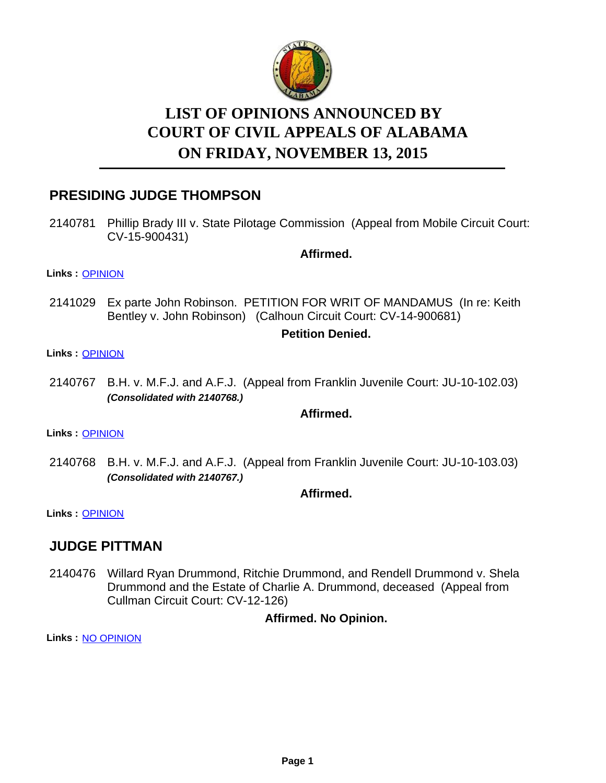

# **LIST OF OPINIONS ANNOUNCED BY ON FRIDAY, NOVEMBER 13, 2015 COURT OF CIVIL APPEALS OF ALABAMA**

# **PRESIDING JUDGE THOMPSON**

2140781 Phillip Brady III v. State Pilotage Commission (Appeal from Mobile Circuit Court: CV-15-900431)

**Affirmed.**

**Links :** [OPINION](https://acis.alabama.gov/displaydocs.cfm?no=697322&event=4HQ0JW301)

2141029 Ex parte John Robinson. PETITION FOR WRIT OF MANDAMUS (In re: Keith Bentley v. John Robinson) (Calhoun Circuit Court: CV-14-900681)

### **Petition Denied.**

#### **Links :** [OPINION](https://acis.alabama.gov/displaydocs.cfm?no=697324&event=4HQ0JW3BO)

2140767 B.H. v. M.F.J. and A.F.J. (Appeal from Franklin Juvenile Court: JU-10-102.03) *(Consolidated with 2140768.)*

#### **Affirmed.**

**Links :** [OPINION](https://acis.alabama.gov/displaydocs.cfm?no=697321&event=4HQ0JW2J5)

2140768 B.H. v. M.F.J. and A.F.J. (Appeal from Franklin Juvenile Court: JU-10-103.03) *(Consolidated with 2140767.)*

### **Affirmed.**

**Links :** [OPINION](https://acis.alabama.gov/displaydocs.cfm?no=697321&event=4HQ0JW2J5)

### **JUDGE PITTMAN**

2140476 Willard Ryan Drummond, Ritchie Drummond, and Rendell Drummond v. Shela Drummond and the Estate of Charlie A. Drummond, deceased (Appeal from Cullman Circuit Court: CV-12-126)

### **Affirmed. No Opinion.**

**Links :** [NO OPINION](https://acis.alabama.gov/displaydocs.cfm?no=697327&event=4HQ0JW3RB)